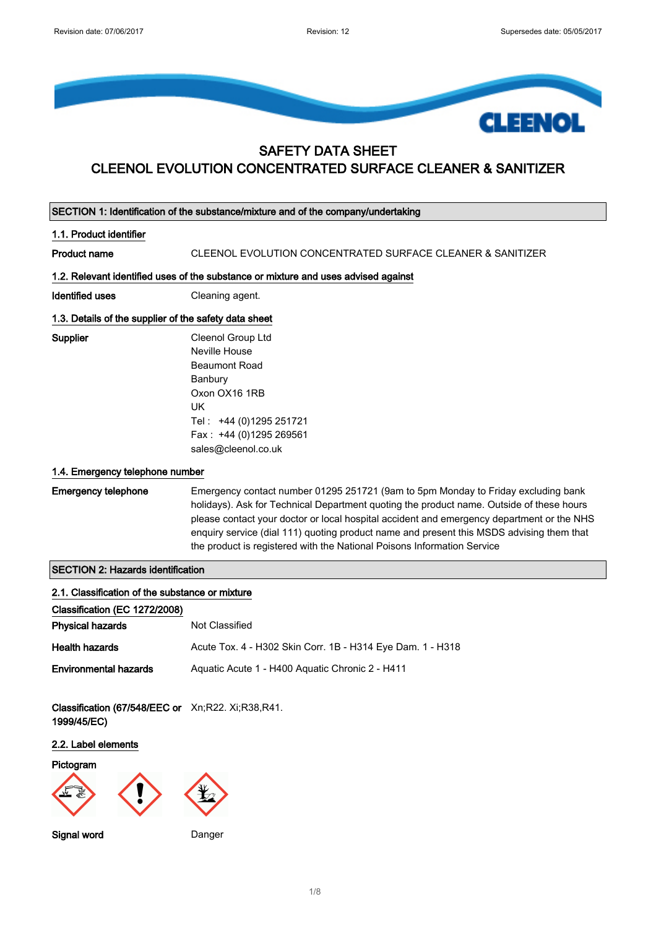

# SAFETY DATA SHEET CLEENOL EVOLUTION CONCENTRATED SURFACE CLEANER & SANITIZER

| SECTION 1: Identification of the substance/mixture and of the company/undertaking                                                    |                                                                                                                                                                                                                                                                                                                                                                                                                                                   |  |
|--------------------------------------------------------------------------------------------------------------------------------------|---------------------------------------------------------------------------------------------------------------------------------------------------------------------------------------------------------------------------------------------------------------------------------------------------------------------------------------------------------------------------------------------------------------------------------------------------|--|
| 1.1. Product identifier                                                                                                              |                                                                                                                                                                                                                                                                                                                                                                                                                                                   |  |
| <b>Product name</b>                                                                                                                  | CLEENOL EVOLUTION CONCENTRATED SURFACE CLEANER & SANITIZER                                                                                                                                                                                                                                                                                                                                                                                        |  |
|                                                                                                                                      | 1.2. Relevant identified uses of the substance or mixture and uses advised against                                                                                                                                                                                                                                                                                                                                                                |  |
| <b>Identified uses</b>                                                                                                               | Cleaning agent.                                                                                                                                                                                                                                                                                                                                                                                                                                   |  |
| 1.3. Details of the supplier of the safety data sheet                                                                                |                                                                                                                                                                                                                                                                                                                                                                                                                                                   |  |
| Supplier                                                                                                                             | Cleenol Group Ltd<br>Neville House<br><b>Beaumont Road</b><br>Banbury<br>Oxon OX16 1RB<br><b>UK</b><br>Tel: +44 (0)1295 251721<br>Fax: +44 (0)1295 269561<br>sales@cleenol.co.uk                                                                                                                                                                                                                                                                  |  |
| 1.4. Emergency telephone number                                                                                                      |                                                                                                                                                                                                                                                                                                                                                                                                                                                   |  |
| <b>Emergency telephone</b>                                                                                                           | Emergency contact number 01295 251721 (9am to 5pm Monday to Friday excluding bank<br>holidays). Ask for Technical Department quoting the product name. Outside of these hours<br>please contact your doctor or local hospital accident and emergency department or the NHS<br>enquiry service (dial 111) quoting product name and present this MSDS advising them that<br>the product is registered with the National Poisons Information Service |  |
| <b>SECTION 2: Hazards identification</b>                                                                                             |                                                                                                                                                                                                                                                                                                                                                                                                                                                   |  |
| 2.1. Classification of the substance or mixture<br>Classification (EC 1272/2008)                                                     |                                                                                                                                                                                                                                                                                                                                                                                                                                                   |  |
| <b>Physical hazards</b>                                                                                                              | Not Classified                                                                                                                                                                                                                                                                                                                                                                                                                                    |  |
| <b>Health hazards</b>                                                                                                                | Acute Tox. 4 - H302 Skin Corr. 1B - H314 Eye Dam. 1 - H318                                                                                                                                                                                                                                                                                                                                                                                        |  |
| <b>Environmental hazards</b><br>Classification (67/548/EEC or Xn;R22. Xi;R38,R41.<br>1999/45/EC)<br>2.2. Label elements<br>Pictogram | Aquatic Acute 1 - H400 Aquatic Chronic 2 - H411                                                                                                                                                                                                                                                                                                                                                                                                   |  |
| <b>Signal word</b>                                                                                                                   | Danger                                                                                                                                                                                                                                                                                                                                                                                                                                            |  |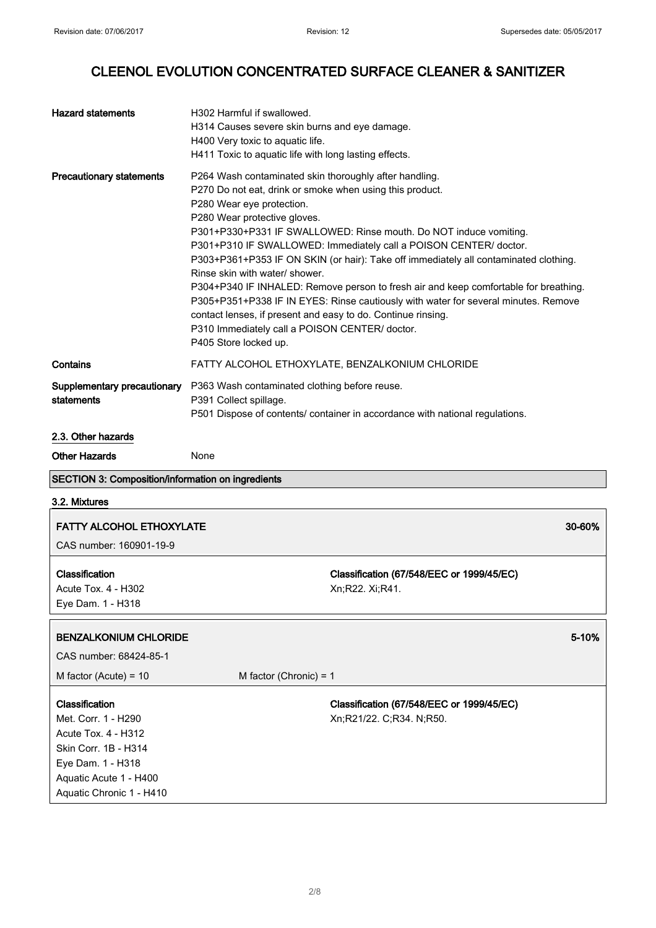$\overline{\phantom{a}}$ 

# CLEENOL EVOLUTION CONCENTRATED SURFACE CLEANER & SANITIZER

| <b>Hazard statements</b>                                                                                                                                               | H302 Harmful if swallowed.<br>H314 Causes severe skin burns and eye damage.<br>H400 Very toxic to aquatic life.<br>H411 Toxic to aquatic life with long lasting effects.                                                                                                                                                                                                                                                                                                                                                                                                                                                                                                                                                                                                     |  |
|------------------------------------------------------------------------------------------------------------------------------------------------------------------------|------------------------------------------------------------------------------------------------------------------------------------------------------------------------------------------------------------------------------------------------------------------------------------------------------------------------------------------------------------------------------------------------------------------------------------------------------------------------------------------------------------------------------------------------------------------------------------------------------------------------------------------------------------------------------------------------------------------------------------------------------------------------------|--|
| <b>Precautionary statements</b>                                                                                                                                        | P264 Wash contaminated skin thoroughly after handling.<br>P270 Do not eat, drink or smoke when using this product.<br>P280 Wear eye protection.<br>P280 Wear protective gloves.<br>P301+P330+P331 IF SWALLOWED: Rinse mouth. Do NOT induce vomiting.<br>P301+P310 IF SWALLOWED: Immediately call a POISON CENTER/ doctor.<br>P303+P361+P353 IF ON SKIN (or hair): Take off immediately all contaminated clothing.<br>Rinse skin with water/ shower.<br>P304+P340 IF INHALED: Remove person to fresh air and keep comfortable for breathing.<br>P305+P351+P338 IF IN EYES: Rinse cautiously with water for several minutes. Remove<br>contact lenses, if present and easy to do. Continue rinsing.<br>P310 Immediately call a POISON CENTER/ doctor.<br>P405 Store locked up. |  |
| Contains                                                                                                                                                               | FATTY ALCOHOL ETHOXYLATE, BENZALKONIUM CHLORIDE                                                                                                                                                                                                                                                                                                                                                                                                                                                                                                                                                                                                                                                                                                                              |  |
| Supplementary precautionary<br>statements                                                                                                                              | P363 Wash contaminated clothing before reuse.<br>P391 Collect spillage.<br>P501 Dispose of contents/ container in accordance with national regulations.                                                                                                                                                                                                                                                                                                                                                                                                                                                                                                                                                                                                                      |  |
| 2.3. Other hazards                                                                                                                                                     |                                                                                                                                                                                                                                                                                                                                                                                                                                                                                                                                                                                                                                                                                                                                                                              |  |
| <b>Other Hazards</b>                                                                                                                                                   | None                                                                                                                                                                                                                                                                                                                                                                                                                                                                                                                                                                                                                                                                                                                                                                         |  |
| <b>SECTION 3: Composition/information on ingredients</b>                                                                                                               |                                                                                                                                                                                                                                                                                                                                                                                                                                                                                                                                                                                                                                                                                                                                                                              |  |
| 3.2. Mixtures                                                                                                                                                          |                                                                                                                                                                                                                                                                                                                                                                                                                                                                                                                                                                                                                                                                                                                                                                              |  |
| <b>FATTY ALCOHOL ETHOXYLATE</b><br>CAS number: 160901-19-9                                                                                                             | 30-60%                                                                                                                                                                                                                                                                                                                                                                                                                                                                                                                                                                                                                                                                                                                                                                       |  |
| Classification<br>Acute Tox. 4 - H302<br>Eye Dam. 1 - H318                                                                                                             | Classification (67/548/EEC or 1999/45/EC)<br>Xn;R22. Xi;R41.                                                                                                                                                                                                                                                                                                                                                                                                                                                                                                                                                                                                                                                                                                                 |  |
| <b>BENZALKONIUM CHLORIDE</b><br>CAS number: 68424-85-1                                                                                                                 | 5-10%                                                                                                                                                                                                                                                                                                                                                                                                                                                                                                                                                                                                                                                                                                                                                                        |  |
| M factor (Acute) = $10$                                                                                                                                                | M factor (Chronic) = $1$                                                                                                                                                                                                                                                                                                                                                                                                                                                                                                                                                                                                                                                                                                                                                     |  |
| Classification<br>Met. Corr. 1 - H290<br><b>Acute Tox. 4 - H312</b><br>Skin Corr. 1B - H314<br>Eye Dam. 1 - H318<br>Aquatic Acute 1 - H400<br>Aquatic Chronic 1 - H410 | Classification (67/548/EEC or 1999/45/EC)<br>Xn;R21/22. C;R34. N;R50.                                                                                                                                                                                                                                                                                                                                                                                                                                                                                                                                                                                                                                                                                                        |  |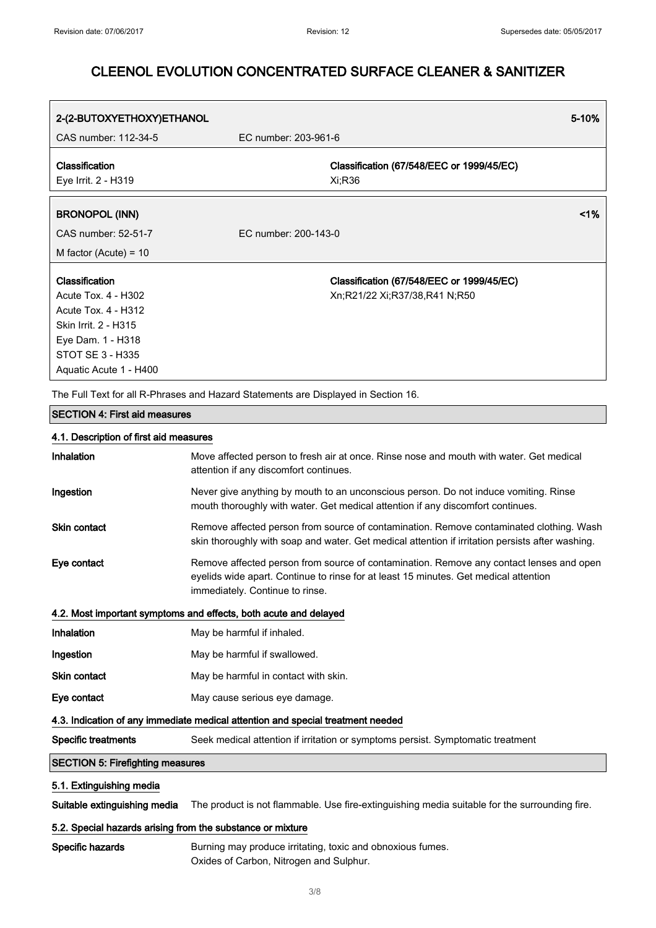| 2-(2-BUTOXYETHOXY)ETHANOL                                                                                        |                                                                                    | 5-10% |
|------------------------------------------------------------------------------------------------------------------|------------------------------------------------------------------------------------|-------|
| CAS number: 112-34-5                                                                                             | EC number: 203-961-6                                                               |       |
| <b>Classification</b><br>Eye Irrit. 2 - H319                                                                     | Classification (67/548/EEC or 1999/45/EC)<br>Xi;R36                                |       |
| <b>BRONOPOL (INN)</b>                                                                                            |                                                                                    | $1\%$ |
| CAS number: 52-51-7                                                                                              | EC number: 200-143-0                                                               |       |
| M factor (Acute) = $10$                                                                                          |                                                                                    |       |
| <b>Classification</b><br>Acute Tox. 4 - H302<br>Acute Tox. 4 - H312<br>Skin Irrit. 2 - H315<br>Eye Dam. 1 - H318 | Classification (67/548/EEC or 1999/45/EC)<br>Xn;R21/22 Xi;R37/38,R41 N;R50         |       |
| STOT SE 3 - H335<br>Aquatic Acute 1 - H400                                                                       | The Full Text for all R-Phrases and Hazard Statements are Displayed in Section 16. |       |

#### SECTION 4: First aid measures

#### 4.1. Description of first aid measures

| Inhalation                                                                      | Move affected person to fresh air at once. Rinse nose and mouth with water. Get medical<br>attention if any discomfort continues.                                                                                  |  |
|---------------------------------------------------------------------------------|--------------------------------------------------------------------------------------------------------------------------------------------------------------------------------------------------------------------|--|
| Ingestion                                                                       | Never give anything by mouth to an unconscious person. Do not induce vomiting. Rinse<br>mouth thoroughly with water. Get medical attention if any discomfort continues.                                            |  |
| <b>Skin contact</b>                                                             | Remove affected person from source of contamination. Remove contaminated clothing. Wash<br>skin thoroughly with soap and water. Get medical attention if irritation persists after washing.                        |  |
| Eye contact                                                                     | Remove affected person from source of contamination. Remove any contact lenses and open<br>eyelids wide apart. Continue to rinse for at least 15 minutes. Get medical attention<br>immediately. Continue to rinse. |  |
| 4.2. Most important symptoms and effects, both acute and delayed                |                                                                                                                                                                                                                    |  |
| Inhalation                                                                      | May be harmful if inhaled.                                                                                                                                                                                         |  |
| Ingestion                                                                       | May be harmful if swallowed.                                                                                                                                                                                       |  |
| <b>Skin contact</b>                                                             | May be harmful in contact with skin.                                                                                                                                                                               |  |
| Eye contact                                                                     | May cause serious eye damage.                                                                                                                                                                                      |  |
| 4.3. Indication of any immediate medical attention and special treatment needed |                                                                                                                                                                                                                    |  |
| <b>Specific treatments</b>                                                      | Seek medical attention if irritation or symptoms persist. Symptomatic treatment                                                                                                                                    |  |
| <b>SECTION 5: Firefighting measures</b>                                         |                                                                                                                                                                                                                    |  |
| 5.1. Extinguishing media                                                        |                                                                                                                                                                                                                    |  |
| Suitable extinguishing media                                                    | The product is not flammable. Use fire-extinguishing media suitable for the surrounding fire.                                                                                                                      |  |
| 5.2. Special bazarde arieing from the eubetance or mixture                      |                                                                                                                                                                                                                    |  |

#### 5.2. Special hazards arising from the substance or mixture

Specific hazards **Burning may produce irritating, toxic and obnoxious fumes.** Oxides of Carbon, Nitrogen and Sulphur.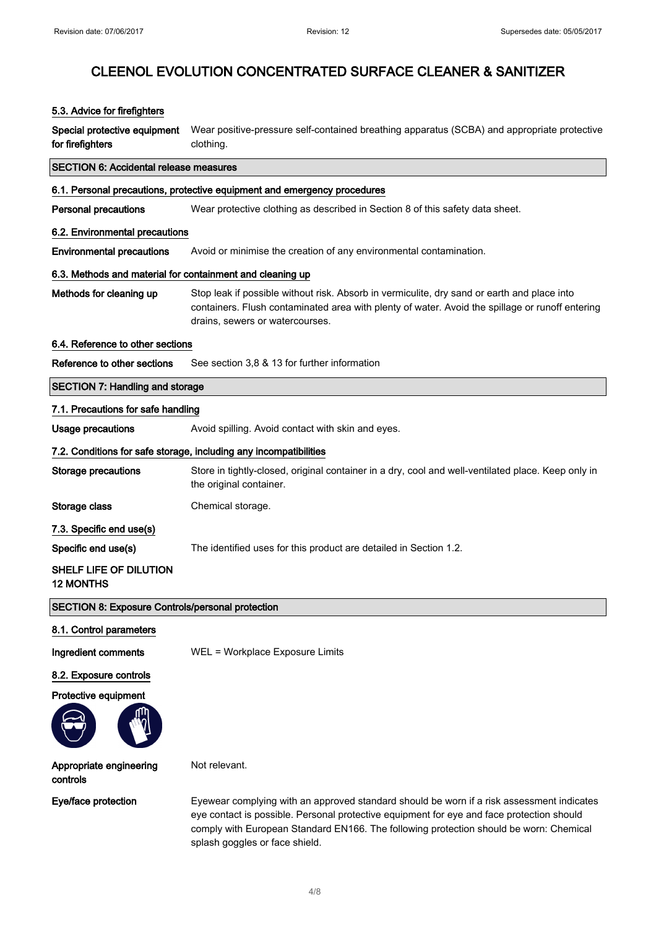#### 5.3. Advice for firefighters

Special protective equipment for firefighters Wear positive-pressure self-contained breathing apparatus (SCBA) and appropriate protective clothing.

## SECTION 6: Accidental release measures

### 6.1. Personal precautions, protective equipment and emergency procedures

**Personal precautions** Wear protective clothing as described in Section 8 of this safety data sheet.

#### 6.2. Environmental precautions

Environmental precautions Avoid or minimise the creation of any environmental contamination.

#### 6.3. Methods and material for containment and cleaning up

Methods for cleaning up Stop leak if possible without risk. Absorb in vermiculite, dry sand or earth and place into containers. Flush contaminated area with plenty of water. Avoid the spillage or runoff entering drains, sewers or watercourses.

#### 6.4. Reference to other sections

Reference to other sections See section 3,8 & 13 for further information

# SECTION 7: Handling and storage 7.1. Precautions for safe handling Usage precautions **Avoid spilling. Avoid contact with skin and eyes.** 7.2. Conditions for safe storage, including any incompatibilities Storage precautions Store in tightly-closed, original container in a dry, cool and well-ventilated place. Keep only in the original container. Storage class Chemical storage. 7.3. Specific end use(s) Specific end use(s) The identified uses for this product are detailed in Section 1.2. SHELF LIFE OF DILUTION 12 MONTHS

### SECTION 8: Exposure Controls/personal protection

8.1. Control parameters

Ingredient comments WEL = Workplace Exposure Limits

Not relevant.

#### 8.2. Exposure controls

Protective equipment



#### Appropriate engineering controls

Eye/face protection Eyewear complying with an approved standard should be worn if a risk assessment indicates eye contact is possible. Personal protective equipment for eye and face protection should comply with European Standard EN166. The following protection should be worn: Chemical splash goggles or face shield.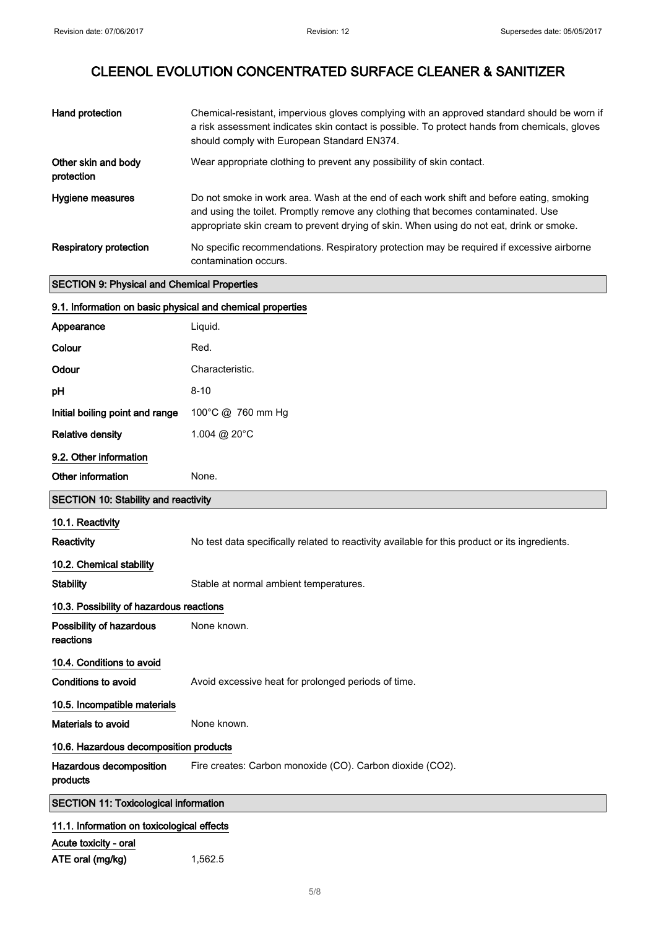| Hand protection                                            | Chemical-resistant, impervious gloves complying with an approved standard should be worn if<br>a risk assessment indicates skin contact is possible. To protect hands from chemicals, gloves<br>should comply with European Standard EN374.                               |  |
|------------------------------------------------------------|---------------------------------------------------------------------------------------------------------------------------------------------------------------------------------------------------------------------------------------------------------------------------|--|
| Other skin and body<br>protection                          | Wear appropriate clothing to prevent any possibility of skin contact.                                                                                                                                                                                                     |  |
| Hygiene measures                                           | Do not smoke in work area. Wash at the end of each work shift and before eating, smoking<br>and using the toilet. Promptly remove any clothing that becomes contaminated. Use<br>appropriate skin cream to prevent drying of skin. When using do not eat, drink or smoke. |  |
| Respiratory protection                                     | No specific recommendations. Respiratory protection may be required if excessive airborne<br>contamination occurs.                                                                                                                                                        |  |
| <b>SECTION 9: Physical and Chemical Properties</b>         |                                                                                                                                                                                                                                                                           |  |
| 9.1. Information on basic physical and chemical properties |                                                                                                                                                                                                                                                                           |  |
| Appearance                                                 | Liquid.                                                                                                                                                                                                                                                                   |  |
| Colour                                                     | Red.                                                                                                                                                                                                                                                                      |  |
| Odour                                                      | Characteristic.                                                                                                                                                                                                                                                           |  |
| рH                                                         | $8 - 10$                                                                                                                                                                                                                                                                  |  |

| <b>Relative density</b>                     | 1.004 @ 20°C                                                                                   |
|---------------------------------------------|------------------------------------------------------------------------------------------------|
| 9.2. Other information                      |                                                                                                |
| Other information                           | None.                                                                                          |
| <b>SECTION 10: Stability and reactivity</b> |                                                                                                |
| 10.1. Reactivity                            |                                                                                                |
| <b>Reactivity</b>                           | No test data specifically related to reactivity available for this product or its ingredients. |
| 10.2. Chemical stability                    |                                                                                                |
| <b>Stability</b>                            | Stable at normal ambient temperatures.                                                         |
| 10.3. Possibility of hazardous reactions    |                                                                                                |
| Possibility of hazardous<br>reactions       | None known.                                                                                    |
| 10.4. Conditions to avoid                   |                                                                                                |
| Conditions to avoid                         | Avoid excessive heat for prolonged periods of time.                                            |
| 10.5. Incompatible materials                |                                                                                                |
| Materials to avoid                          | None known.                                                                                    |
| 10.6 Hezerdous decomposition products       |                                                                                                |

### 10.6. Hazardous decomposition products

Hazardous decomposition Fire creates: Carbon monoxide (CO). Carbon dioxide (CO2).

products

SECTION 11: Toxicological information

# 11.1. Information on toxicological effects

Acute toxicity - oral

ATE oral (mg/kg) 1,562.5

Initial boiling point and range 100°C @ 760 mm Hg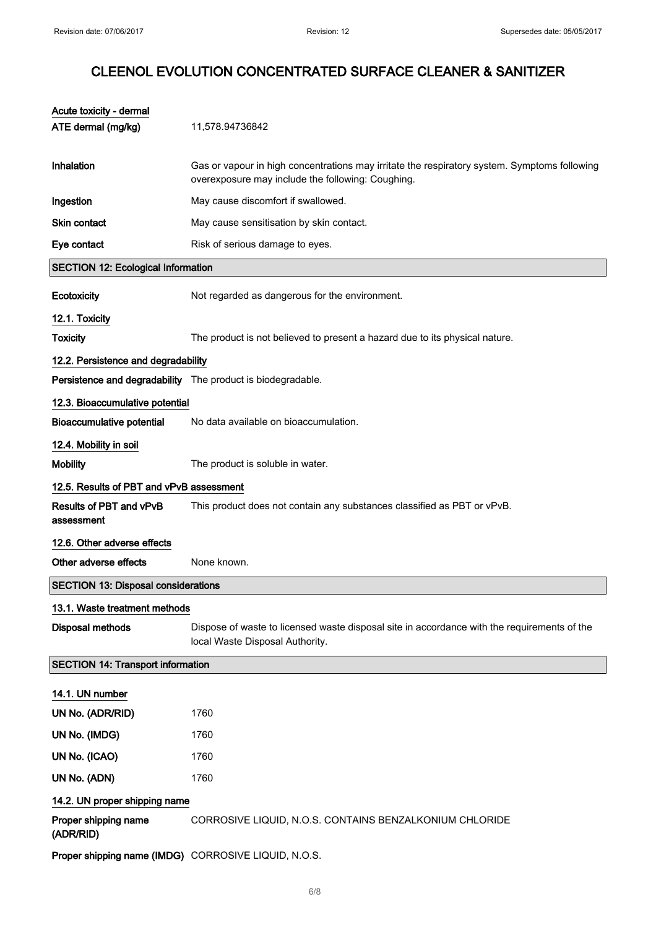| Acute toxicity - dermal                    |                                                                                                                                                   |
|--------------------------------------------|---------------------------------------------------------------------------------------------------------------------------------------------------|
| ATE dermal (mg/kg)                         | 11,578.94736842                                                                                                                                   |
| <b>Inhalation</b>                          | Gas or vapour in high concentrations may irritate the respiratory system. Symptoms following<br>overexposure may include the following: Coughing. |
| Ingestion                                  | May cause discomfort if swallowed.                                                                                                                |
| <b>Skin contact</b>                        | May cause sensitisation by skin contact.                                                                                                          |
| Eye contact                                | Risk of serious damage to eyes.                                                                                                                   |
| <b>SECTION 12: Ecological Information</b>  |                                                                                                                                                   |
| Ecotoxicity                                | Not regarded as dangerous for the environment.                                                                                                    |
| 12.1. Toxicity                             |                                                                                                                                                   |
| <b>Toxicity</b>                            | The product is not believed to present a hazard due to its physical nature.                                                                       |
| 12.2. Persistence and degradability        |                                                                                                                                                   |
|                                            | Persistence and degradability The product is biodegradable.                                                                                       |
| 12.3. Bioaccumulative potential            |                                                                                                                                                   |
| <b>Bioaccumulative potential</b>           | No data available on bioaccumulation.                                                                                                             |
| 12.4. Mobility in soil                     |                                                                                                                                                   |
| <b>Mobility</b>                            | The product is soluble in water.                                                                                                                  |
| 12.5. Results of PBT and vPvB assessment   |                                                                                                                                                   |
| Results of PBT and vPvB<br>assessment      | This product does not contain any substances classified as PBT or vPvB.                                                                           |
| 12.6. Other adverse effects                |                                                                                                                                                   |
| Other adverse effects                      | None known.                                                                                                                                       |
| <b>SECTION 13: Disposal considerations</b> |                                                                                                                                                   |
| 13.1. Waste treatment methods              |                                                                                                                                                   |
| Disposal methods                           | Dispose of waste to licensed waste disposal site in accordance with the requirements of the<br>local Waste Disposal Authority.                    |
| <b>SECTION 14: Transport information</b>   |                                                                                                                                                   |
| 14.1. UN number                            |                                                                                                                                                   |
| UN No. (ADR/RID)                           | 1760                                                                                                                                              |
| UN No. (IMDG)                              | 1760                                                                                                                                              |
| UN No. (ICAO)                              | 1760                                                                                                                                              |
| UN No. (ADN)                               | 1760                                                                                                                                              |
| 14.2. UN proper shipping name              |                                                                                                                                                   |
| Proper shipping name<br>(ADR/RID)          | CORROSIVE LIQUID, N.O.S. CONTAINS BENZALKONIUM CHLORIDE                                                                                           |
|                                            | Proper shipping name (IMDG) CORROSIVE LIQUID, N.O.S.                                                                                              |
|                                            |                                                                                                                                                   |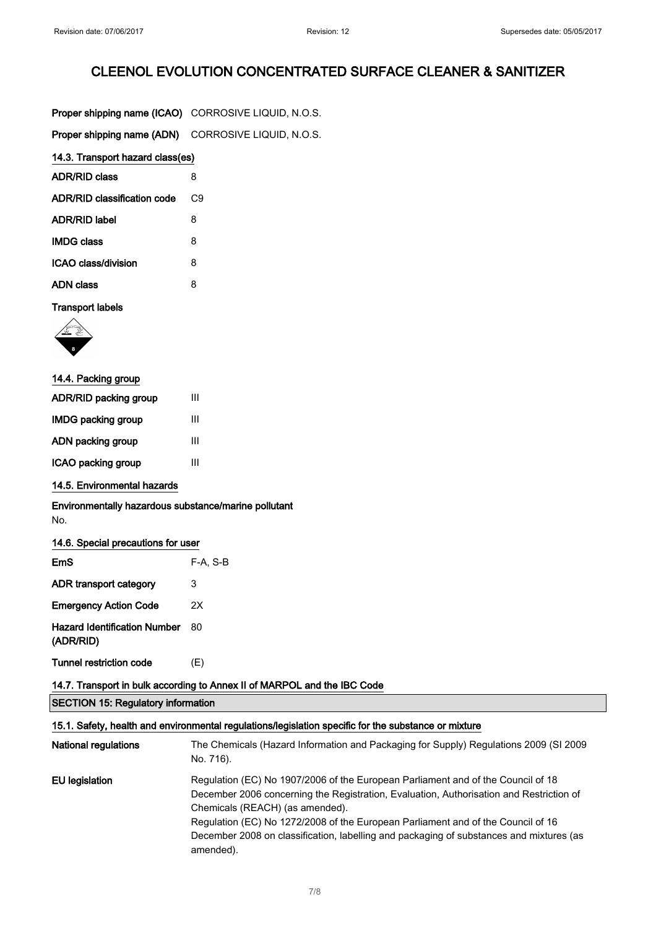| Proper shipping name (ICAO) CORROSIVE LIQUID, N.O.S. |    |  |
|------------------------------------------------------|----|--|
| Proper shipping name (ADN) CORROSIVE LIQUID, N.O.S.  |    |  |
| 14.3. Transport hazard class(es)                     |    |  |
| <b>ADR/RID class</b>                                 | 8  |  |
| ADR/RID classification code                          | C9 |  |
| <b>ADR/RID label</b>                                 | 8  |  |
| <b>IMDG class</b>                                    | 8  |  |
| ICAO class/division                                  | 8  |  |
| <b>ADN class</b>                                     | 8  |  |

### Transport labels



| 14.4. Packing group       |   |
|---------------------------|---|
| ADR/RID packing group     | Ш |
| <b>IMDG packing group</b> | Ш |
| ADN packing group         | Ш |
| ICAO packing group        | Ш |

14.5. Environmental hazards

Environmentally hazardous substance/marine pollutant No.

### 14.6. Special precautions for user

| EmS                                              | $F-A. S-B$ |
|--------------------------------------------------|------------|
| ADR transport category                           | 3          |
| <b>Emergency Action Code</b>                     | 2X         |
| <b>Hazard Identification Number</b><br>(ADR/RID) | 80         |
| <b>Tunnel restriction code</b>                   | (E)        |

### 14.7. Transport in bulk according to Annex II of MARPOL and the IBC Code

SECTION 15: Regulatory information

| 15.1. Safety, health and environmental regulations/legislation specific for the substance or mixture |                                                                                                                                                                                                                                                                                                                                                                                                            |  |
|------------------------------------------------------------------------------------------------------|------------------------------------------------------------------------------------------------------------------------------------------------------------------------------------------------------------------------------------------------------------------------------------------------------------------------------------------------------------------------------------------------------------|--|
| <b>National regulations</b>                                                                          | The Chemicals (Hazard Information and Packaging for Supply) Regulations 2009 (SI 2009<br>No. 716).                                                                                                                                                                                                                                                                                                         |  |
| EU legislation                                                                                       | Regulation (EC) No 1907/2006 of the European Parliament and of the Council of 18<br>December 2006 concerning the Registration, Evaluation, Authorisation and Restriction of<br>Chemicals (REACH) (as amended).<br>Regulation (EC) No 1272/2008 of the European Parliament and of the Council of 16<br>December 2008 on classification, labelling and packaging of substances and mixtures (as<br>amended). |  |